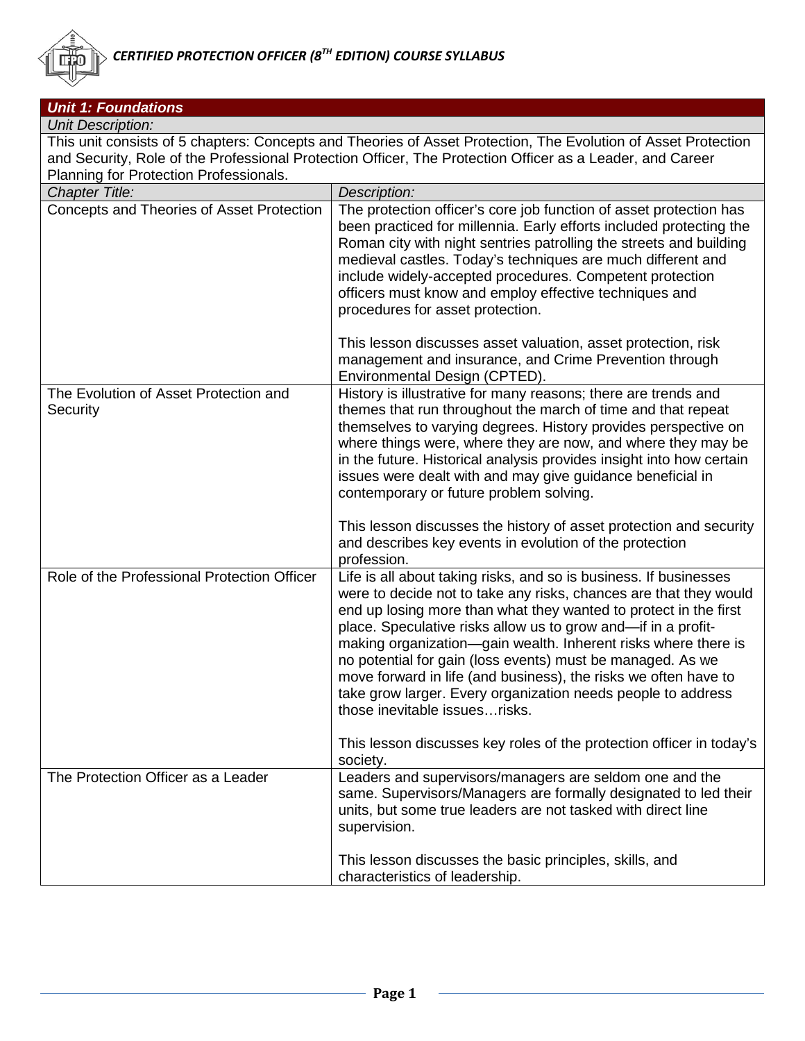

| <b>Unit 1: Foundations</b>                        |                                                                                                                                                                                                                                                                                                                                                                                                                                                                                                                                                                                  |
|---------------------------------------------------|----------------------------------------------------------------------------------------------------------------------------------------------------------------------------------------------------------------------------------------------------------------------------------------------------------------------------------------------------------------------------------------------------------------------------------------------------------------------------------------------------------------------------------------------------------------------------------|
| <b>Unit Description:</b>                          |                                                                                                                                                                                                                                                                                                                                                                                                                                                                                                                                                                                  |
|                                                   | This unit consists of 5 chapters: Concepts and Theories of Asset Protection, The Evolution of Asset Protection                                                                                                                                                                                                                                                                                                                                                                                                                                                                   |
|                                                   | and Security, Role of the Professional Protection Officer, The Protection Officer as a Leader, and Career                                                                                                                                                                                                                                                                                                                                                                                                                                                                        |
| Planning for Protection Professionals.            |                                                                                                                                                                                                                                                                                                                                                                                                                                                                                                                                                                                  |
| <b>Chapter Title:</b>                             | Description:                                                                                                                                                                                                                                                                                                                                                                                                                                                                                                                                                                     |
| Concepts and Theories of Asset Protection         | The protection officer's core job function of asset protection has<br>been practiced for millennia. Early efforts included protecting the<br>Roman city with night sentries patrolling the streets and building<br>medieval castles. Today's techniques are much different and<br>include widely-accepted procedures. Competent protection<br>officers must know and employ effective techniques and<br>procedures for asset protection.<br>This lesson discusses asset valuation, asset protection, risk                                                                        |
|                                                   | management and insurance, and Crime Prevention through<br>Environmental Design (CPTED).                                                                                                                                                                                                                                                                                                                                                                                                                                                                                          |
| The Evolution of Asset Protection and<br>Security | History is illustrative for many reasons; there are trends and<br>themes that run throughout the march of time and that repeat<br>themselves to varying degrees. History provides perspective on<br>where things were, where they are now, and where they may be<br>in the future. Historical analysis provides insight into how certain<br>issues were dealt with and may give guidance beneficial in<br>contemporary or future problem solving.                                                                                                                                |
|                                                   | This lesson discusses the history of asset protection and security<br>and describes key events in evolution of the protection<br>profession.                                                                                                                                                                                                                                                                                                                                                                                                                                     |
| Role of the Professional Protection Officer       | Life is all about taking risks, and so is business. If businesses<br>were to decide not to take any risks, chances are that they would<br>end up losing more than what they wanted to protect in the first<br>place. Speculative risks allow us to grow and-if in a profit-<br>making organization-gain wealth. Inherent risks where there is<br>no potential for gain (loss events) must be managed. As we<br>move forward in life (and business), the risks we often have to<br>take grow larger. Every organization needs people to address<br>those inevitable issues risks. |
|                                                   | This lesson discusses key roles of the protection officer in today's<br>society.                                                                                                                                                                                                                                                                                                                                                                                                                                                                                                 |
| The Protection Officer as a Leader                | Leaders and supervisors/managers are seldom one and the<br>same. Supervisors/Managers are formally designated to led their<br>units, but some true leaders are not tasked with direct line<br>supervision.                                                                                                                                                                                                                                                                                                                                                                       |
|                                                   | This lesson discusses the basic principles, skills, and<br>characteristics of leadership.                                                                                                                                                                                                                                                                                                                                                                                                                                                                                        |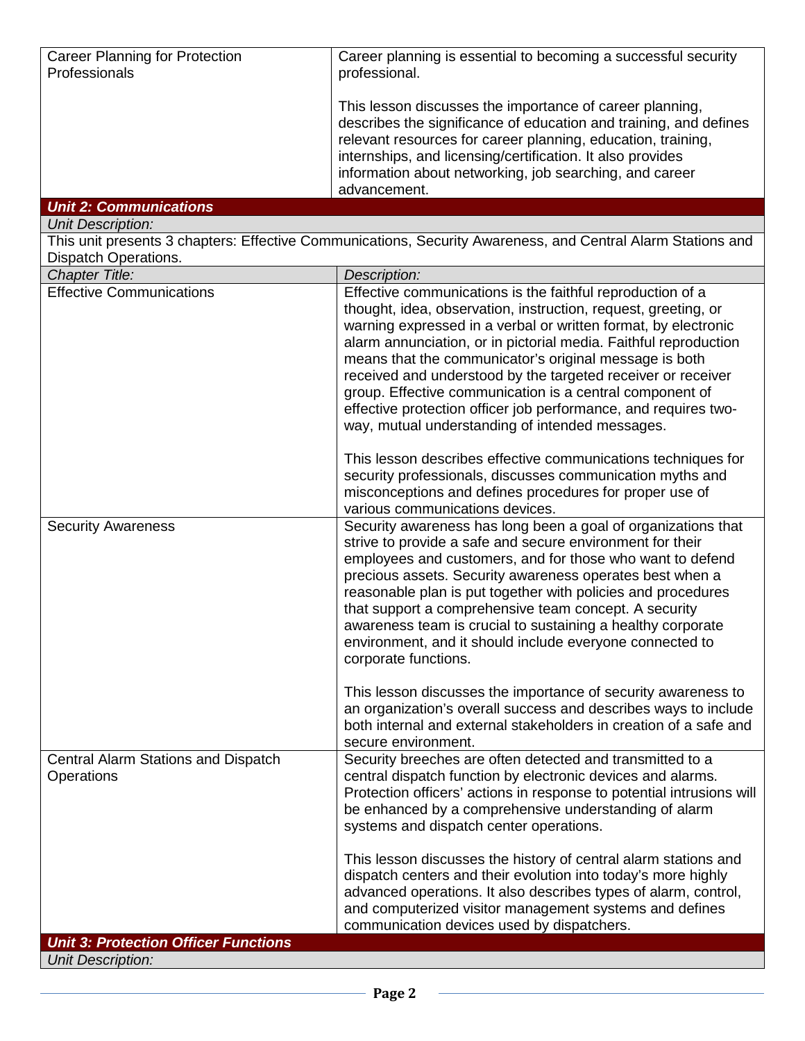| Career Planning for Protection                    | Career planning is essential to becoming a successful security                                                                                                                                                                                                                                                                                                                                                                                                                                                                                                                                                                                 |
|---------------------------------------------------|------------------------------------------------------------------------------------------------------------------------------------------------------------------------------------------------------------------------------------------------------------------------------------------------------------------------------------------------------------------------------------------------------------------------------------------------------------------------------------------------------------------------------------------------------------------------------------------------------------------------------------------------|
| Professionals                                     | professional.                                                                                                                                                                                                                                                                                                                                                                                                                                                                                                                                                                                                                                  |
|                                                   | This lesson discusses the importance of career planning,<br>describes the significance of education and training, and defines<br>relevant resources for career planning, education, training,<br>internships, and licensing/certification. It also provides<br>information about networking, job searching, and career<br>advancement.                                                                                                                                                                                                                                                                                                         |
| <b>Unit 2: Communications</b>                     |                                                                                                                                                                                                                                                                                                                                                                                                                                                                                                                                                                                                                                                |
| <b>Unit Description:</b>                          |                                                                                                                                                                                                                                                                                                                                                                                                                                                                                                                                                                                                                                                |
|                                                   | This unit presents 3 chapters: Effective Communications, Security Awareness, and Central Alarm Stations and                                                                                                                                                                                                                                                                                                                                                                                                                                                                                                                                    |
| Dispatch Operations.<br><b>Chapter Title:</b>     | Description:                                                                                                                                                                                                                                                                                                                                                                                                                                                                                                                                                                                                                                   |
| <b>Effective Communications</b>                   | Effective communications is the faithful reproduction of a                                                                                                                                                                                                                                                                                                                                                                                                                                                                                                                                                                                     |
|                                                   | thought, idea, observation, instruction, request, greeting, or<br>warning expressed in a verbal or written format, by electronic<br>alarm annunciation, or in pictorial media. Faithful reproduction<br>means that the communicator's original message is both<br>received and understood by the targeted receiver or receiver<br>group. Effective communication is a central component of<br>effective protection officer job performance, and requires two-<br>way, mutual understanding of intended messages.<br>This lesson describes effective communications techniques for<br>security professionals, discusses communication myths and |
|                                                   | misconceptions and defines procedures for proper use of<br>various communications devices.                                                                                                                                                                                                                                                                                                                                                                                                                                                                                                                                                     |
| <b>Security Awareness</b>                         | Security awareness has long been a goal of organizations that<br>strive to provide a safe and secure environment for their<br>employees and customers, and for those who want to defend<br>precious assets. Security awareness operates best when a<br>reasonable plan is put together with policies and procedures<br>that support a comprehensive team concept. A security<br>awareness team is crucial to sustaining a healthy corporate<br>environment, and it should include everyone connected to<br>corporate functions.                                                                                                                |
|                                                   | This lesson discusses the importance of security awareness to<br>an organization's overall success and describes ways to include<br>both internal and external stakeholders in creation of a safe and<br>secure environment.                                                                                                                                                                                                                                                                                                                                                                                                                   |
| Central Alarm Stations and Dispatch<br>Operations | Security breeches are often detected and transmitted to a<br>central dispatch function by electronic devices and alarms.<br>Protection officers' actions in response to potential intrusions will<br>be enhanced by a comprehensive understanding of alarm<br>systems and dispatch center operations.                                                                                                                                                                                                                                                                                                                                          |
|                                                   | This lesson discusses the history of central alarm stations and<br>dispatch centers and their evolution into today's more highly<br>advanced operations. It also describes types of alarm, control,<br>and computerized visitor management systems and defines<br>communication devices used by dispatchers.                                                                                                                                                                                                                                                                                                                                   |
| <b>Unit 3: Protection Officer Functions</b>       |                                                                                                                                                                                                                                                                                                                                                                                                                                                                                                                                                                                                                                                |
| <b>Unit Description:</b>                          |                                                                                                                                                                                                                                                                                                                                                                                                                                                                                                                                                                                                                                                |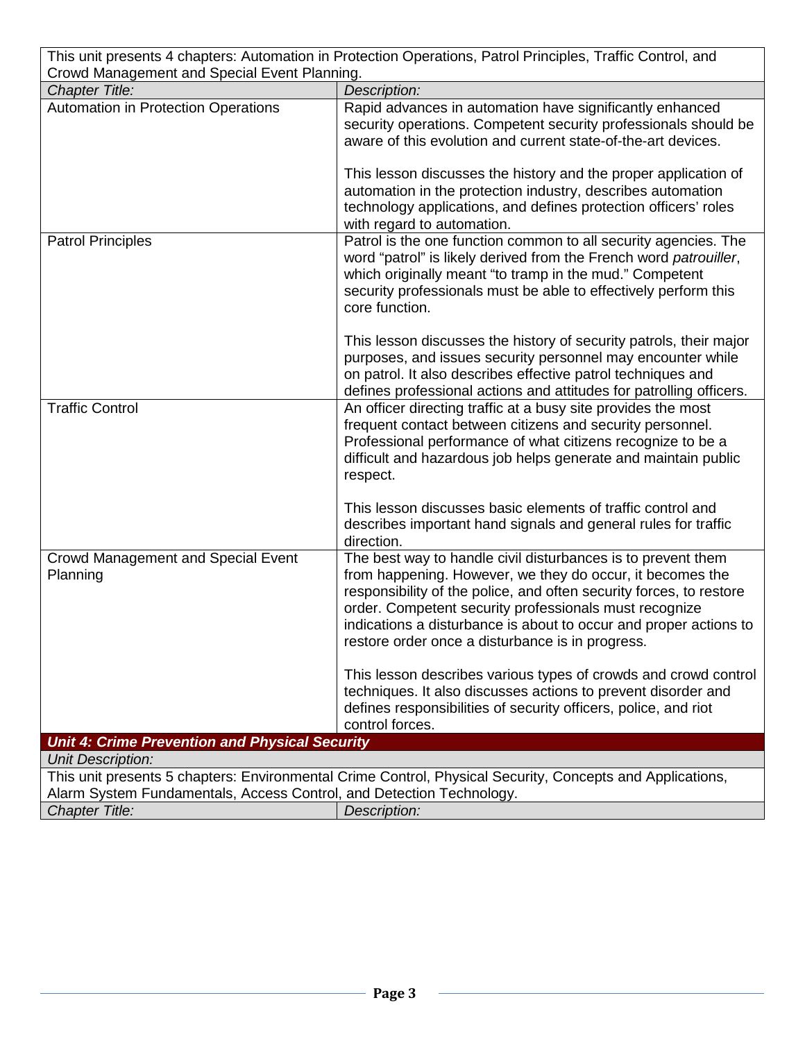| This unit presents 4 chapters: Automation in Protection Operations, Patrol Principles, Traffic Control, and                                                                       |                                                                                                                                                                                                                                                                                                                                                                                     |  |
|-----------------------------------------------------------------------------------------------------------------------------------------------------------------------------------|-------------------------------------------------------------------------------------------------------------------------------------------------------------------------------------------------------------------------------------------------------------------------------------------------------------------------------------------------------------------------------------|--|
| Crowd Management and Special Event Planning.<br><b>Chapter Title:</b>                                                                                                             | Description:                                                                                                                                                                                                                                                                                                                                                                        |  |
| Automation in Protection Operations                                                                                                                                               | Rapid advances in automation have significantly enhanced                                                                                                                                                                                                                                                                                                                            |  |
|                                                                                                                                                                                   | security operations. Competent security professionals should be<br>aware of this evolution and current state-of-the-art devices.                                                                                                                                                                                                                                                    |  |
|                                                                                                                                                                                   | This lesson discusses the history and the proper application of<br>automation in the protection industry, describes automation<br>technology applications, and defines protection officers' roles<br>with regard to automation.                                                                                                                                                     |  |
| <b>Patrol Principles</b>                                                                                                                                                          | Patrol is the one function common to all security agencies. The<br>word "patrol" is likely derived from the French word patrouiller,<br>which originally meant "to tramp in the mud." Competent<br>security professionals must be able to effectively perform this<br>core function.                                                                                                |  |
|                                                                                                                                                                                   | This lesson discusses the history of security patrols, their major<br>purposes, and issues security personnel may encounter while<br>on patrol. It also describes effective patrol techniques and<br>defines professional actions and attitudes for patrolling officers.                                                                                                            |  |
| <b>Traffic Control</b>                                                                                                                                                            | An officer directing traffic at a busy site provides the most<br>frequent contact between citizens and security personnel.<br>Professional performance of what citizens recognize to be a<br>difficult and hazardous job helps generate and maintain public<br>respect.                                                                                                             |  |
|                                                                                                                                                                                   | This lesson discusses basic elements of traffic control and<br>describes important hand signals and general rules for traffic<br>direction.                                                                                                                                                                                                                                         |  |
| <b>Crowd Management and Special Event</b><br>Planning                                                                                                                             | The best way to handle civil disturbances is to prevent them<br>from happening. However, we they do occur, it becomes the<br>responsibility of the police, and often security forces, to restore<br>order. Competent security professionals must recognize<br>indications a disturbance is about to occur and proper actions to<br>restore order once a disturbance is in progress. |  |
|                                                                                                                                                                                   | This lesson describes various types of crowds and crowd control<br>techniques. It also discusses actions to prevent disorder and<br>defines responsibilities of security officers, police, and riot<br>control forces.                                                                                                                                                              |  |
| <b>Unit 4: Crime Prevention and Physical Security</b>                                                                                                                             |                                                                                                                                                                                                                                                                                                                                                                                     |  |
| <b>Unit Description:</b>                                                                                                                                                          |                                                                                                                                                                                                                                                                                                                                                                                     |  |
| This unit presents 5 chapters: Environmental Crime Control, Physical Security, Concepts and Applications,<br>Alarm System Fundamentals, Access Control, and Detection Technology. |                                                                                                                                                                                                                                                                                                                                                                                     |  |
| Chapter Title:                                                                                                                                                                    | Description:                                                                                                                                                                                                                                                                                                                                                                        |  |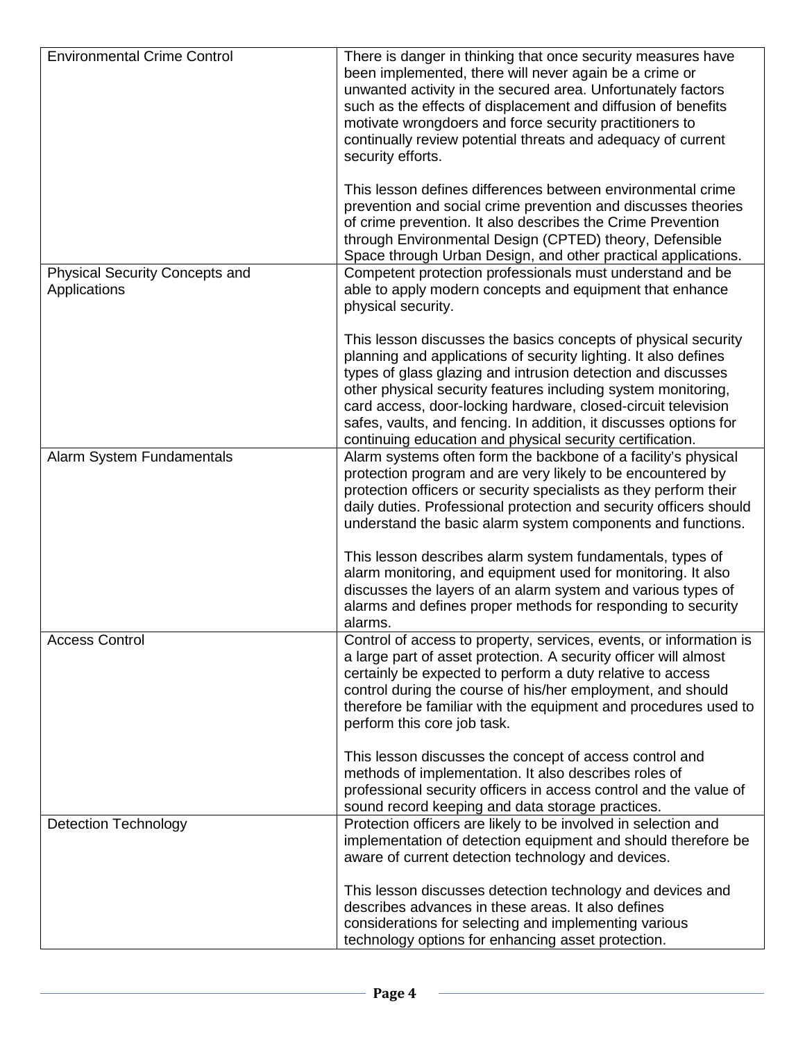| <b>Environmental Crime Control</b>                    | There is danger in thinking that once security measures have<br>been implemented, there will never again be a crime or<br>unwanted activity in the secured area. Unfortunately factors<br>such as the effects of displacement and diffusion of benefits<br>motivate wrongdoers and force security practitioners to<br>continually review potential threats and adequacy of current<br>security efforts.                                                               |
|-------------------------------------------------------|-----------------------------------------------------------------------------------------------------------------------------------------------------------------------------------------------------------------------------------------------------------------------------------------------------------------------------------------------------------------------------------------------------------------------------------------------------------------------|
|                                                       | This lesson defines differences between environmental crime<br>prevention and social crime prevention and discusses theories<br>of crime prevention. It also describes the Crime Prevention<br>through Environmental Design (CPTED) theory, Defensible<br>Space through Urban Design, and other practical applications.                                                                                                                                               |
| <b>Physical Security Concepts and</b><br>Applications | Competent protection professionals must understand and be<br>able to apply modern concepts and equipment that enhance<br>physical security.                                                                                                                                                                                                                                                                                                                           |
|                                                       | This lesson discusses the basics concepts of physical security<br>planning and applications of security lighting. It also defines<br>types of glass glazing and intrusion detection and discusses<br>other physical security features including system monitoring,<br>card access, door-locking hardware, closed-circuit television<br>safes, vaults, and fencing. In addition, it discusses options for<br>continuing education and physical security certification. |
| Alarm System Fundamentals                             | Alarm systems often form the backbone of a facility's physical<br>protection program and are very likely to be encountered by<br>protection officers or security specialists as they perform their<br>daily duties. Professional protection and security officers should<br>understand the basic alarm system components and functions.<br>This lesson describes alarm system fundamentals, types of                                                                  |
|                                                       | alarm monitoring, and equipment used for monitoring. It also<br>discusses the layers of an alarm system and various types of<br>alarms and defines proper methods for responding to security<br>alarms.                                                                                                                                                                                                                                                               |
| <b>Access Control</b>                                 | Control of access to property, services, events, or information is<br>a large part of asset protection. A security officer will almost<br>certainly be expected to perform a duty relative to access<br>control during the course of his/her employment, and should<br>therefore be familiar with the equipment and procedures used to<br>perform this core job task.                                                                                                 |
|                                                       | This lesson discusses the concept of access control and<br>methods of implementation. It also describes roles of<br>professional security officers in access control and the value of<br>sound record keeping and data storage practices.                                                                                                                                                                                                                             |
| <b>Detection Technology</b>                           | Protection officers are likely to be involved in selection and<br>implementation of detection equipment and should therefore be<br>aware of current detection technology and devices.                                                                                                                                                                                                                                                                                 |
|                                                       | This lesson discusses detection technology and devices and<br>describes advances in these areas. It also defines<br>considerations for selecting and implementing various<br>technology options for enhancing asset protection.                                                                                                                                                                                                                                       |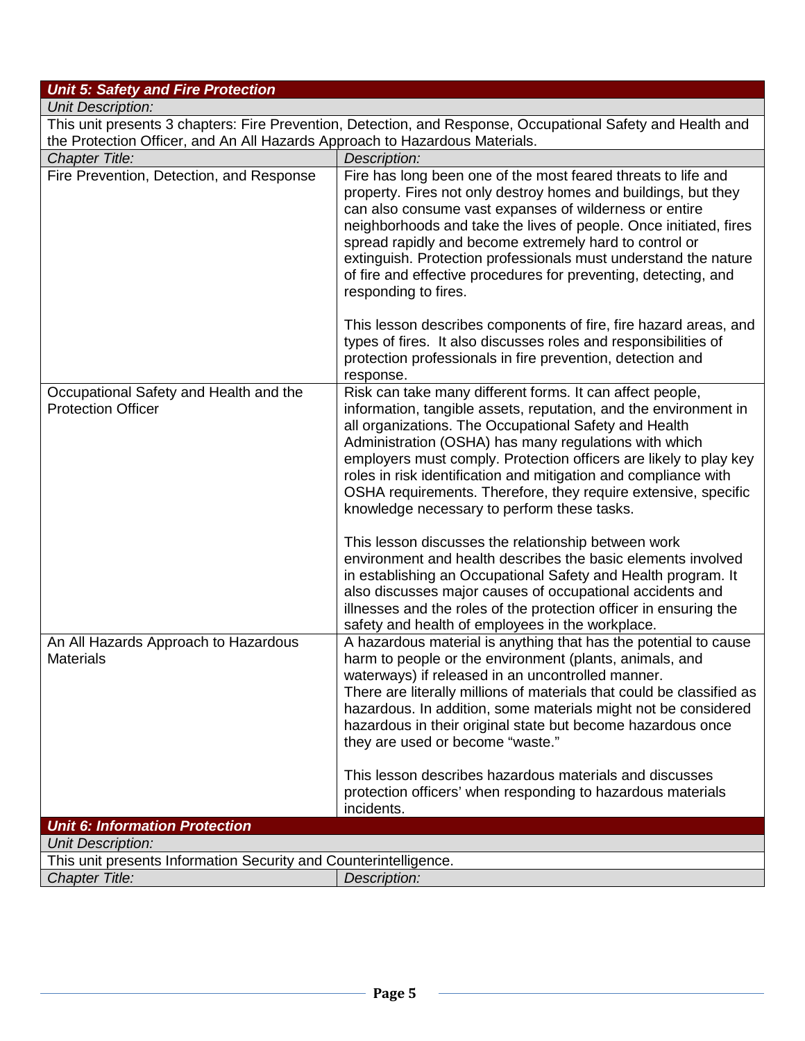## *Unit 5: Safety and Fire Protection*

| <b>Unit Description:</b>                                                    |                                                                                                             |
|-----------------------------------------------------------------------------|-------------------------------------------------------------------------------------------------------------|
|                                                                             | This unit presents 3 chapters: Fire Prevention, Detection, and Response, Occupational Safety and Health and |
| the Protection Officer, and An All Hazards Approach to Hazardous Materials. |                                                                                                             |
|                                                                             |                                                                                                             |

| <b>Chapter Title:</b>                                                                        | Description:                                                                                                                                                                                                                                                                                                                                                                                                                                                                                                                                                                                                                  |
|----------------------------------------------------------------------------------------------|-------------------------------------------------------------------------------------------------------------------------------------------------------------------------------------------------------------------------------------------------------------------------------------------------------------------------------------------------------------------------------------------------------------------------------------------------------------------------------------------------------------------------------------------------------------------------------------------------------------------------------|
| Fire Prevention, Detection, and Response                                                     | Fire has long been one of the most feared threats to life and<br>property. Fires not only destroy homes and buildings, but they<br>can also consume vast expanses of wilderness or entire<br>neighborhoods and take the lives of people. Once initiated, fires<br>spread rapidly and become extremely hard to control or<br>extinguish. Protection professionals must understand the nature<br>of fire and effective procedures for preventing, detecting, and<br>responding to fires.<br>This lesson describes components of fire, fire hazard areas, and<br>types of fires. It also discusses roles and responsibilities of |
|                                                                                              | protection professionals in fire prevention, detection and<br>response.                                                                                                                                                                                                                                                                                                                                                                                                                                                                                                                                                       |
| Occupational Safety and Health and the<br><b>Protection Officer</b>                          | Risk can take many different forms. It can affect people,<br>information, tangible assets, reputation, and the environment in<br>all organizations. The Occupational Safety and Health<br>Administration (OSHA) has many regulations with which<br>employers must comply. Protection officers are likely to play key<br>roles in risk identification and mitigation and compliance with<br>OSHA requirements. Therefore, they require extensive, specific<br>knowledge necessary to perform these tasks.                                                                                                                      |
|                                                                                              | This lesson discusses the relationship between work<br>environment and health describes the basic elements involved<br>in establishing an Occupational Safety and Health program. It<br>also discusses major causes of occupational accidents and<br>illnesses and the roles of the protection officer in ensuring the<br>safety and health of employees in the workplace.                                                                                                                                                                                                                                                    |
| An All Hazards Approach to Hazardous<br><b>Materials</b>                                     | A hazardous material is anything that has the potential to cause<br>harm to people or the environment (plants, animals, and<br>waterways) if released in an uncontrolled manner.<br>There are literally millions of materials that could be classified as<br>hazardous. In addition, some materials might not be considered<br>hazardous in their original state but become hazardous once<br>they are used or become "waste."                                                                                                                                                                                                |
|                                                                                              | This lesson describes hazardous materials and discusses<br>protection officers' when responding to hazardous materials<br>incidents.                                                                                                                                                                                                                                                                                                                                                                                                                                                                                          |
| <b>Unit 6: Information Protection</b>                                                        |                                                                                                                                                                                                                                                                                                                                                                                                                                                                                                                                                                                                                               |
| <b>Unit Description:</b><br>This unit presents Information Security and Counterintelligence. |                                                                                                                                                                                                                                                                                                                                                                                                                                                                                                                                                                                                                               |
| <b>Chapter Title:</b>                                                                        | Description:                                                                                                                                                                                                                                                                                                                                                                                                                                                                                                                                                                                                                  |
|                                                                                              |                                                                                                                                                                                                                                                                                                                                                                                                                                                                                                                                                                                                                               |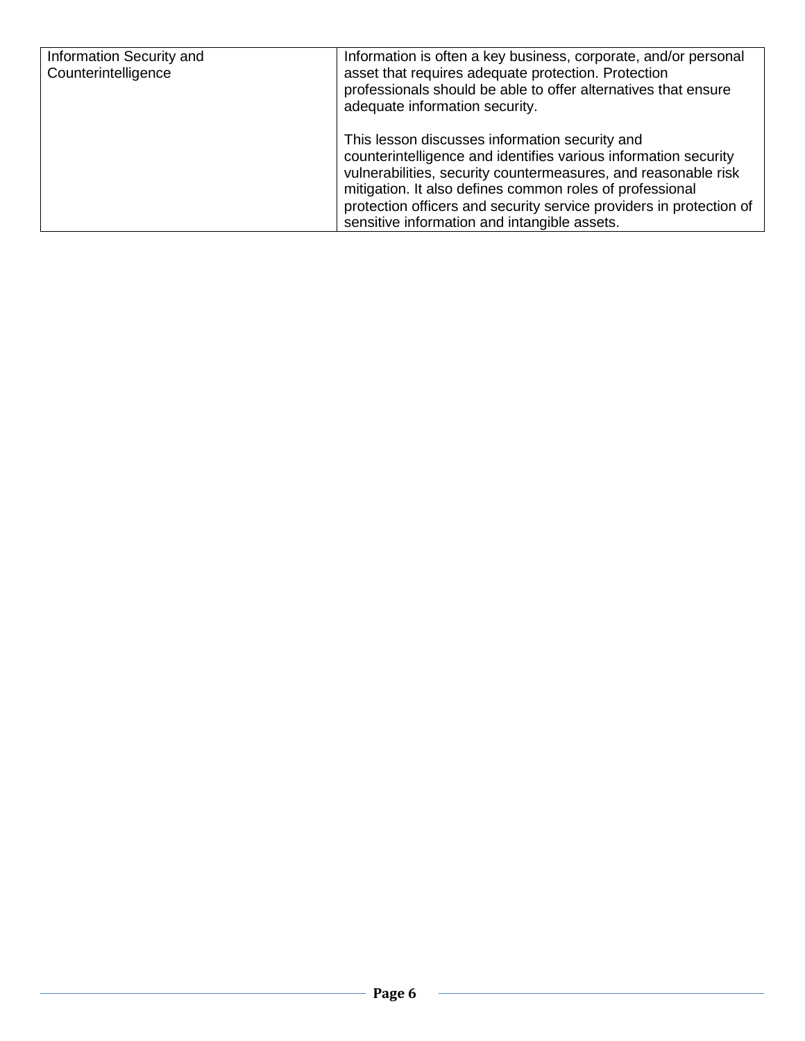| Information Security and<br>Counterintelligence | Information is often a key business, corporate, and/or personal<br>asset that requires adequate protection. Protection<br>professionals should be able to offer alternatives that ensure<br>adequate information security.                                                                                                                                             |
|-------------------------------------------------|------------------------------------------------------------------------------------------------------------------------------------------------------------------------------------------------------------------------------------------------------------------------------------------------------------------------------------------------------------------------|
|                                                 | This lesson discusses information security and<br>counterintelligence and identifies various information security<br>vulnerabilities, security countermeasures, and reasonable risk<br>mitigation. It also defines common roles of professional<br>protection officers and security service providers in protection of<br>sensitive information and intangible assets. |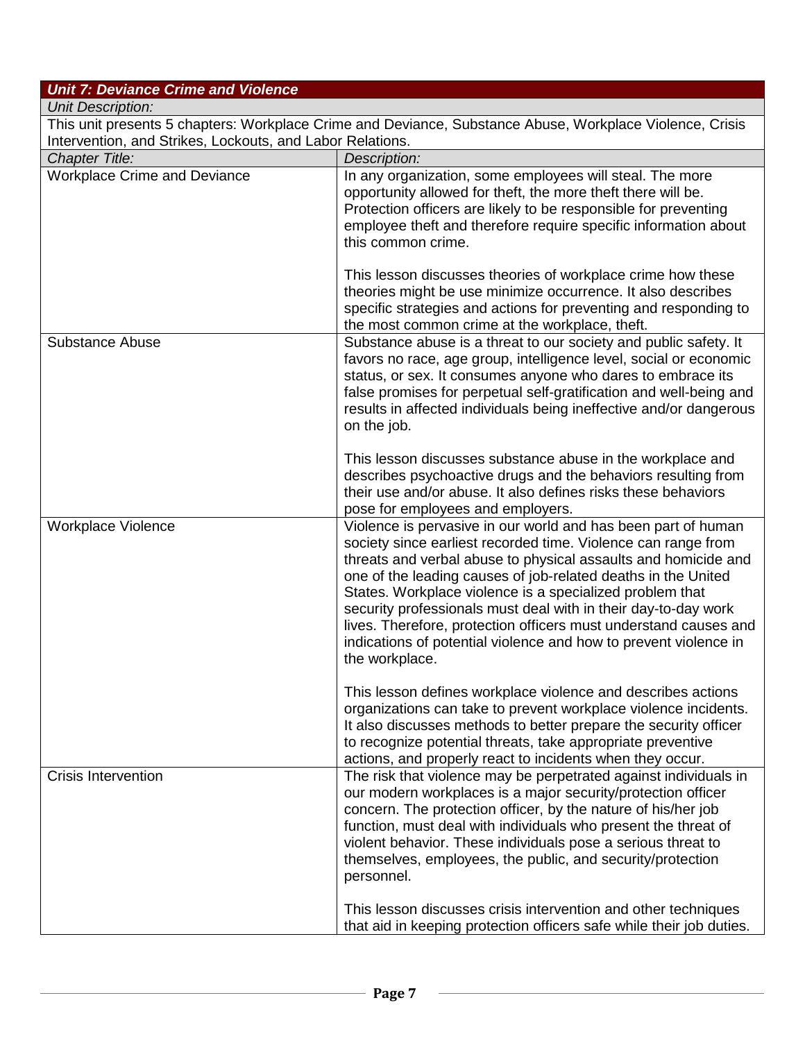| <b>Unit 7: Deviance Crime and Violence</b>                |                                                                                                                                                                                                                                                                                                                                                                                                                                                                     |
|-----------------------------------------------------------|---------------------------------------------------------------------------------------------------------------------------------------------------------------------------------------------------------------------------------------------------------------------------------------------------------------------------------------------------------------------------------------------------------------------------------------------------------------------|
| <b>Unit Description:</b>                                  |                                                                                                                                                                                                                                                                                                                                                                                                                                                                     |
|                                                           | This unit presents 5 chapters: Workplace Crime and Deviance, Substance Abuse, Workplace Violence, Crisis                                                                                                                                                                                                                                                                                                                                                            |
| Intervention, and Strikes, Lockouts, and Labor Relations. |                                                                                                                                                                                                                                                                                                                                                                                                                                                                     |
| <b>Chapter Title:</b>                                     | Description:                                                                                                                                                                                                                                                                                                                                                                                                                                                        |
| <b>Workplace Crime and Deviance</b>                       | In any organization, some employees will steal. The more<br>opportunity allowed for theft, the more theft there will be.<br>Protection officers are likely to be responsible for preventing<br>employee theft and therefore require specific information about<br>this common crime.                                                                                                                                                                                |
|                                                           | This lesson discusses theories of workplace crime how these<br>theories might be use minimize occurrence. It also describes<br>specific strategies and actions for preventing and responding to<br>the most common crime at the workplace, theft.                                                                                                                                                                                                                   |
| <b>Substance Abuse</b>                                    | Substance abuse is a threat to our society and public safety. It<br>favors no race, age group, intelligence level, social or economic<br>status, or sex. It consumes anyone who dares to embrace its<br>false promises for perpetual self-gratification and well-being and<br>results in affected individuals being ineffective and/or dangerous<br>on the job.                                                                                                     |
|                                                           | This lesson discusses substance abuse in the workplace and<br>describes psychoactive drugs and the behaviors resulting from<br>their use and/or abuse. It also defines risks these behaviors<br>pose for employees and employers.                                                                                                                                                                                                                                   |
| <b>Workplace Violence</b>                                 | Violence is pervasive in our world and has been part of human<br>society since earliest recorded time. Violence can range from<br>threats and verbal abuse to physical assaults and homicide and<br>one of the leading causes of job-related deaths in the United<br>States. Workplace violence is a specialized problem that<br>security professionals must deal with in their day-to-day work<br>lives. Therefore, protection officers must understand causes and |

|                     | indications of potential violence and how to prevent violence in<br>the workplace.                                                                                                                                                                                                                                                                                                                              |
|---------------------|-----------------------------------------------------------------------------------------------------------------------------------------------------------------------------------------------------------------------------------------------------------------------------------------------------------------------------------------------------------------------------------------------------------------|
|                     | This lesson defines workplace violence and describes actions<br>organizations can take to prevent workplace violence incidents.<br>It also discusses methods to better prepare the security officer<br>to recognize potential threats, take appropriate preventive<br>actions, and properly react to incidents when they occur.                                                                                 |
| Crisis Intervention | The risk that violence may be perpetrated against individuals in<br>our modern workplaces is a major security/protection officer<br>concern. The protection officer, by the nature of his/her job<br>function, must deal with individuals who present the threat of<br>violent behavior. These individuals pose a serious threat to<br>themselves, employees, the public, and security/protection<br>personnel. |
|                     | This lesson discusses crisis intervention and other techniques<br>that aid in keeping protection officers safe while their job duties.                                                                                                                                                                                                                                                                          |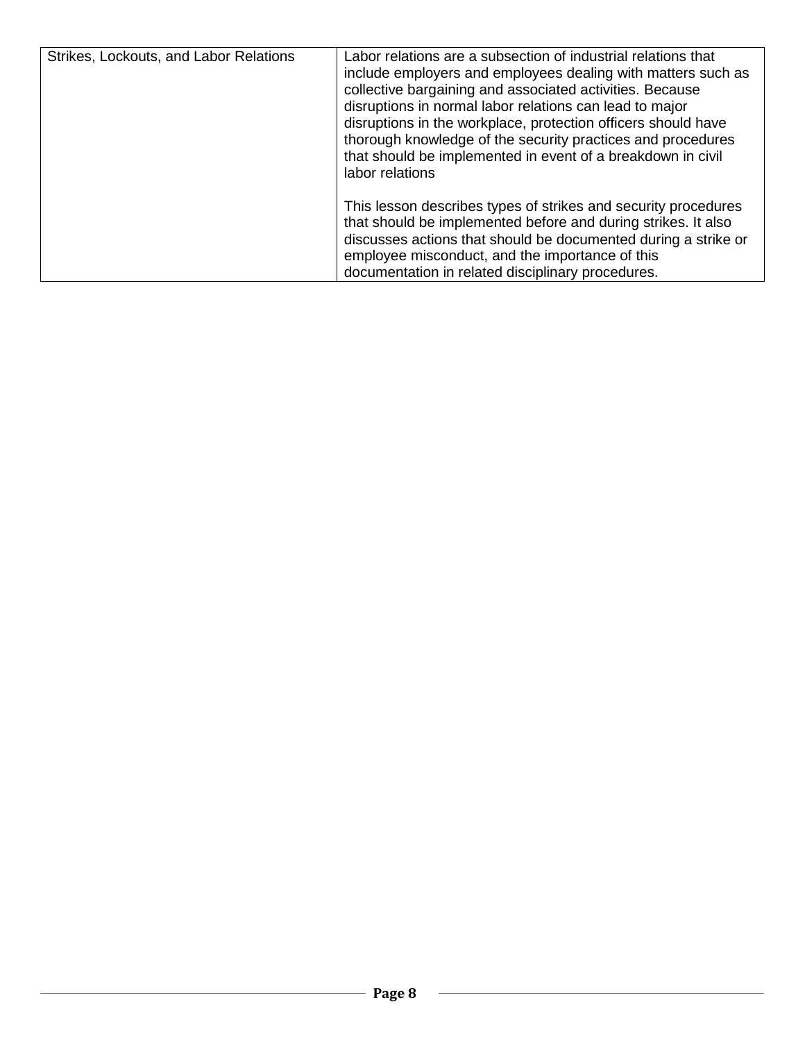| Strikes, Lockouts, and Labor Relations | Labor relations are a subsection of industrial relations that<br>include employers and employees dealing with matters such as<br>collective bargaining and associated activities. Because<br>disruptions in normal labor relations can lead to major<br>disruptions in the workplace, protection officers should have<br>thorough knowledge of the security practices and procedures<br>that should be implemented in event of a breakdown in civil<br>labor relations |
|----------------------------------------|------------------------------------------------------------------------------------------------------------------------------------------------------------------------------------------------------------------------------------------------------------------------------------------------------------------------------------------------------------------------------------------------------------------------------------------------------------------------|
|                                        | This lesson describes types of strikes and security procedures<br>that should be implemented before and during strikes. It also<br>discusses actions that should be documented during a strike or<br>employee misconduct, and the importance of this<br>documentation in related disciplinary procedures.                                                                                                                                                              |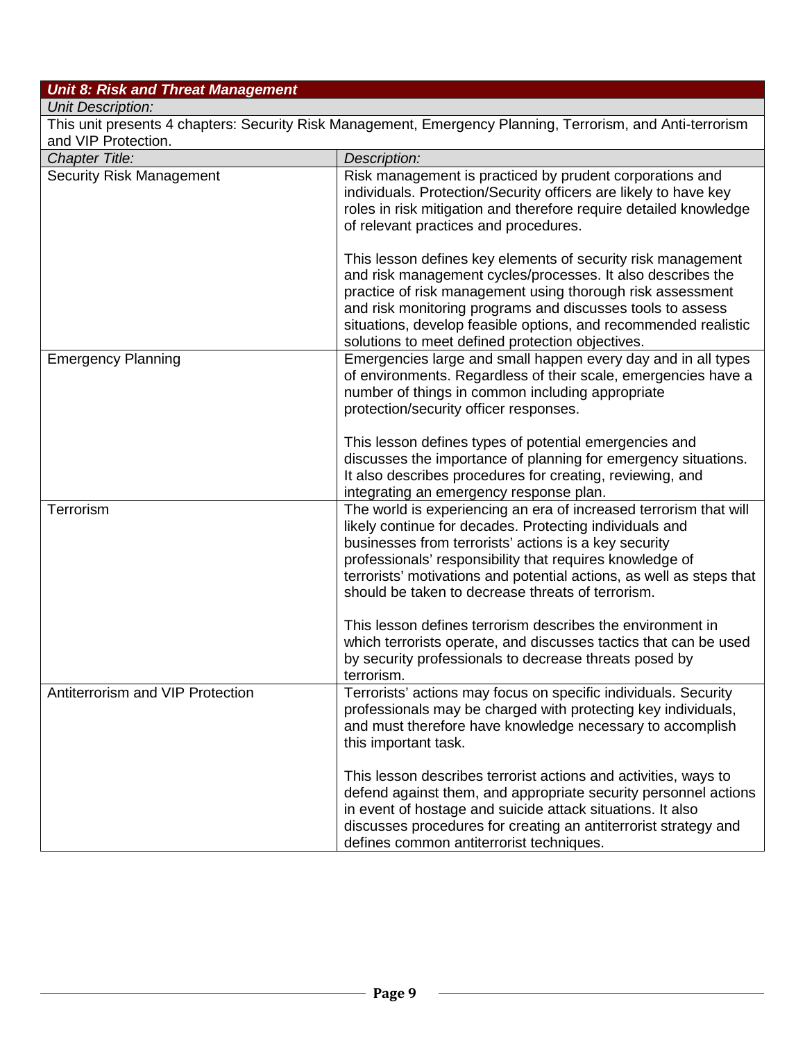## *Unit 8: Risk and Threat Management*

## *Unit Description:*

| This unit presents 4 chapters: Security Risk Management, Emergency Planning, Terrorism, and Anti-terrorism |                                                                                                                                                                                                                                                                                                                                                                                                                                              |
|------------------------------------------------------------------------------------------------------------|----------------------------------------------------------------------------------------------------------------------------------------------------------------------------------------------------------------------------------------------------------------------------------------------------------------------------------------------------------------------------------------------------------------------------------------------|
| and VIP Protection.<br><b>Chapter Title:</b>                                                               |                                                                                                                                                                                                                                                                                                                                                                                                                                              |
| <b>Security Risk Management</b>                                                                            | Description:<br>Risk management is practiced by prudent corporations and<br>individuals. Protection/Security officers are likely to have key<br>roles in risk mitigation and therefore require detailed knowledge<br>of relevant practices and procedures.                                                                                                                                                                                   |
|                                                                                                            | This lesson defines key elements of security risk management<br>and risk management cycles/processes. It also describes the<br>practice of risk management using thorough risk assessment<br>and risk monitoring programs and discusses tools to assess<br>situations, develop feasible options, and recommended realistic<br>solutions to meet defined protection objectives.                                                               |
| <b>Emergency Planning</b>                                                                                  | Emergencies large and small happen every day and in all types<br>of environments. Regardless of their scale, emergencies have a<br>number of things in common including appropriate<br>protection/security officer responses.                                                                                                                                                                                                                |
|                                                                                                            | This lesson defines types of potential emergencies and<br>discusses the importance of planning for emergency situations.<br>It also describes procedures for creating, reviewing, and<br>integrating an emergency response plan.                                                                                                                                                                                                             |
| <b>Terrorism</b>                                                                                           | The world is experiencing an era of increased terrorism that will<br>likely continue for decades. Protecting individuals and<br>businesses from terrorists' actions is a key security<br>professionals' responsibility that requires knowledge of<br>terrorists' motivations and potential actions, as well as steps that<br>should be taken to decrease threats of terrorism.<br>This lesson defines terrorism describes the environment in |
|                                                                                                            | which terrorists operate, and discusses tactics that can be used<br>by security professionals to decrease threats posed by<br>terrorism.                                                                                                                                                                                                                                                                                                     |
| Antiterrorism and VIP Protection                                                                           | Terrorists' actions may focus on specific individuals. Security<br>professionals may be charged with protecting key individuals,<br>and must therefore have knowledge necessary to accomplish<br>this important task.                                                                                                                                                                                                                        |
|                                                                                                            | This lesson describes terrorist actions and activities, ways to<br>defend against them, and appropriate security personnel actions<br>in event of hostage and suicide attack situations. It also<br>discusses procedures for creating an antiterrorist strategy and<br>defines common antiterrorist techniques.                                                                                                                              |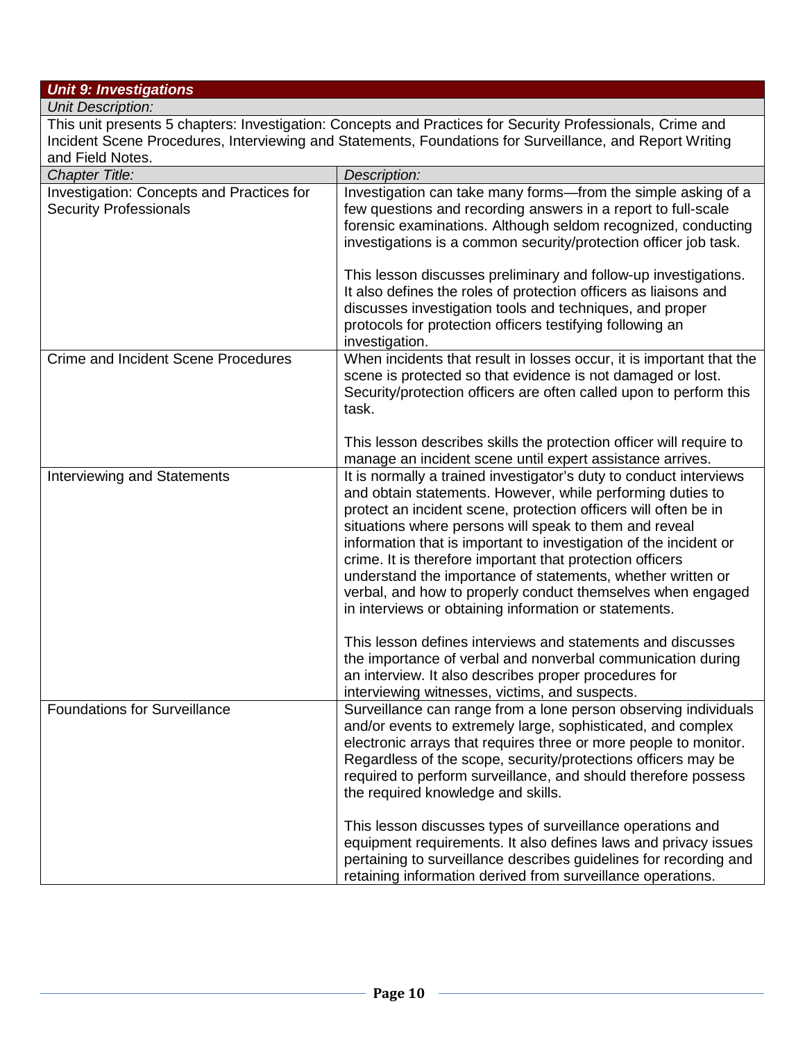## *Unit 9: Investigations*

*Unit Description:* This unit presents 5 chapters: Investigation: Concepts and Practices for Security Professionals, Crime and Incident Scene Procedures, Interviewing and Statements, Foundations for Surveillance, and Report Writing and Field Notes.

| <b>Chapter Title:</b>                                                      | Description:                                                                                                                                                                                                                                                                                                                                                                                                                                                                                                                                                                           |
|----------------------------------------------------------------------------|----------------------------------------------------------------------------------------------------------------------------------------------------------------------------------------------------------------------------------------------------------------------------------------------------------------------------------------------------------------------------------------------------------------------------------------------------------------------------------------------------------------------------------------------------------------------------------------|
| Investigation: Concepts and Practices for<br><b>Security Professionals</b> | Investigation can take many forms-from the simple asking of a<br>few questions and recording answers in a report to full-scale<br>forensic examinations. Although seldom recognized, conducting<br>investigations is a common security/protection officer job task.                                                                                                                                                                                                                                                                                                                    |
|                                                                            | This lesson discusses preliminary and follow-up investigations.<br>It also defines the roles of protection officers as liaisons and<br>discusses investigation tools and techniques, and proper<br>protocols for protection officers testifying following an<br>investigation.                                                                                                                                                                                                                                                                                                         |
| <b>Crime and Incident Scene Procedures</b>                                 | When incidents that result in losses occur, it is important that the<br>scene is protected so that evidence is not damaged or lost.<br>Security/protection officers are often called upon to perform this<br>task.                                                                                                                                                                                                                                                                                                                                                                     |
|                                                                            | This lesson describes skills the protection officer will require to<br>manage an incident scene until expert assistance arrives.                                                                                                                                                                                                                                                                                                                                                                                                                                                       |
| Interviewing and Statements                                                | It is normally a trained investigator's duty to conduct interviews<br>and obtain statements. However, while performing duties to<br>protect an incident scene, protection officers will often be in<br>situations where persons will speak to them and reveal<br>information that is important to investigation of the incident or<br>crime. It is therefore important that protection officers<br>understand the importance of statements, whether written or<br>verbal, and how to properly conduct themselves when engaged<br>in interviews or obtaining information or statements. |
|                                                                            | This lesson defines interviews and statements and discusses<br>the importance of verbal and nonverbal communication during<br>an interview. It also describes proper procedures for<br>interviewing witnesses, victims, and suspects.                                                                                                                                                                                                                                                                                                                                                  |
| <b>Foundations for Surveillance</b>                                        | Surveillance can range from a lone person observing individuals<br>and/or events to extremely large, sophisticated, and complex<br>electronic arrays that requires three or more people to monitor.<br>Regardless of the scope, security/protections officers may be<br>required to perform surveillance, and should therefore possess<br>the required knowledge and skills.                                                                                                                                                                                                           |
|                                                                            | This lesson discusses types of surveillance operations and<br>equipment requirements. It also defines laws and privacy issues<br>pertaining to surveillance describes guidelines for recording and<br>retaining information derived from surveillance operations.                                                                                                                                                                                                                                                                                                                      |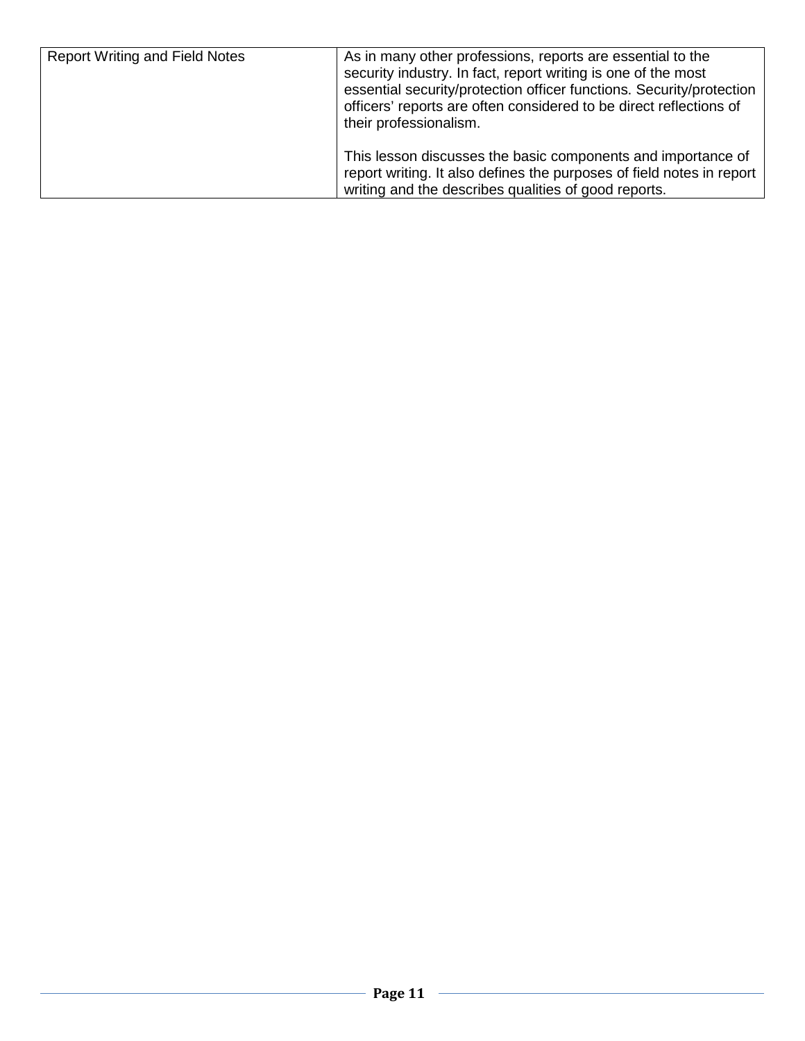| <b>Report Writing and Field Notes</b> | As in many other professions, reports are essential to the<br>security industry. In fact, report writing is one of the most<br>essential security/protection officer functions. Security/protection<br>officers' reports are often considered to be direct reflections of<br>their professionalism. |
|---------------------------------------|-----------------------------------------------------------------------------------------------------------------------------------------------------------------------------------------------------------------------------------------------------------------------------------------------------|
|                                       | This lesson discusses the basic components and importance of<br>report writing. It also defines the purposes of field notes in report<br>writing and the describes qualities of good reports.                                                                                                       |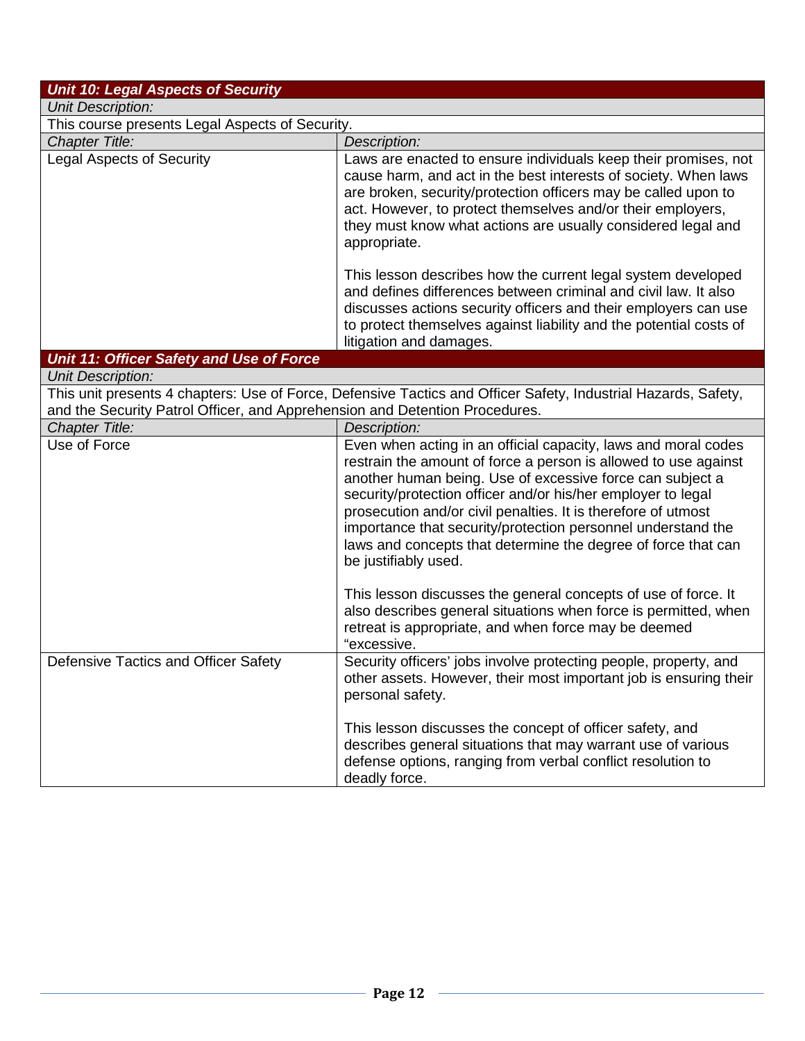| <b>Unit 10: Legal Aspects of Security</b>                                   |                                                                                                                                                                                                                                                                                                                                                                                                                                                                                          |  |
|-----------------------------------------------------------------------------|------------------------------------------------------------------------------------------------------------------------------------------------------------------------------------------------------------------------------------------------------------------------------------------------------------------------------------------------------------------------------------------------------------------------------------------------------------------------------------------|--|
| <b>Unit Description:</b>                                                    |                                                                                                                                                                                                                                                                                                                                                                                                                                                                                          |  |
| This course presents Legal Aspects of Security.                             |                                                                                                                                                                                                                                                                                                                                                                                                                                                                                          |  |
| <b>Chapter Title:</b>                                                       | Description:                                                                                                                                                                                                                                                                                                                                                                                                                                                                             |  |
| <b>Legal Aspects of Security</b>                                            | Laws are enacted to ensure individuals keep their promises, not<br>cause harm, and act in the best interests of society. When laws<br>are broken, security/protection officers may be called upon to<br>act. However, to protect themselves and/or their employers,<br>they must know what actions are usually considered legal and<br>appropriate.                                                                                                                                      |  |
|                                                                             | This lesson describes how the current legal system developed<br>and defines differences between criminal and civil law. It also<br>discusses actions security officers and their employers can use<br>to protect themselves against liability and the potential costs of<br>litigation and damages.                                                                                                                                                                                      |  |
| Unit 11: Officer Safety and Use of Force                                    |                                                                                                                                                                                                                                                                                                                                                                                                                                                                                          |  |
| <b>Unit Description:</b>                                                    | This unit presents 4 chapters: Use of Force, Defensive Tactics and Officer Safety, Industrial Hazards, Safety,                                                                                                                                                                                                                                                                                                                                                                           |  |
| and the Security Patrol Officer, and Apprehension and Detention Procedures. |                                                                                                                                                                                                                                                                                                                                                                                                                                                                                          |  |
| <b>Chapter Title:</b>                                                       | Description:                                                                                                                                                                                                                                                                                                                                                                                                                                                                             |  |
| Use of Force                                                                | Even when acting in an official capacity, laws and moral codes<br>restrain the amount of force a person is allowed to use against<br>another human being. Use of excessive force can subject a<br>security/protection officer and/or his/her employer to legal<br>prosecution and/or civil penalties. It is therefore of utmost<br>importance that security/protection personnel understand the<br>laws and concepts that determine the degree of force that can<br>be justifiably used. |  |
|                                                                             | This lesson discusses the general concepts of use of force. It<br>also describes general situations when force is permitted, when<br>retreat is appropriate, and when force may be deemed<br>"excessive.                                                                                                                                                                                                                                                                                 |  |
| Defensive Tactics and Officer Safety                                        | Security officers' jobs involve protecting people, property, and<br>other assets. However, their most important job is ensuring their<br>personal safety.                                                                                                                                                                                                                                                                                                                                |  |
|                                                                             | This lesson discusses the concept of officer safety, and<br>describes general situations that may warrant use of various<br>defense options, ranging from verbal conflict resolution to<br>deadly force.                                                                                                                                                                                                                                                                                 |  |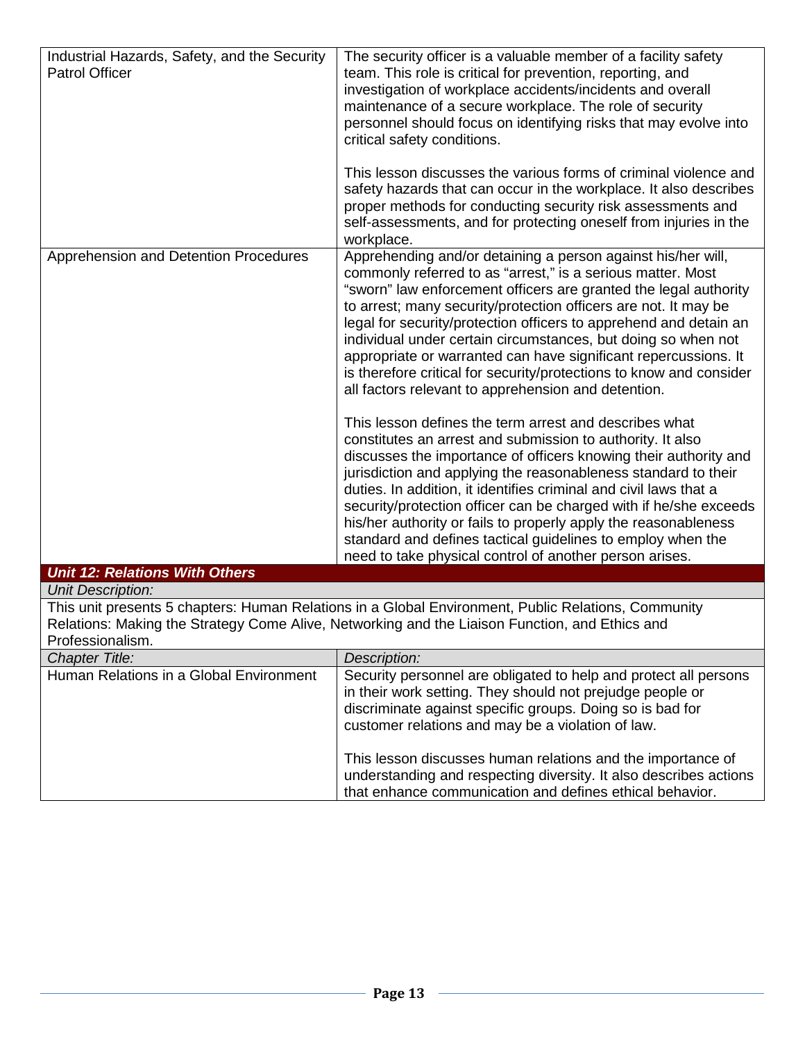| Industrial Hazards, Safety, and the Security<br><b>Patrol Officer</b>                                                                                                                                                     | The security officer is a valuable member of a facility safety<br>team. This role is critical for prevention, reporting, and<br>investigation of workplace accidents/incidents and overall<br>maintenance of a secure workplace. The role of security<br>personnel should focus on identifying risks that may evolve into<br>critical safety conditions.                                                                                                                                                                                                                                                  |
|---------------------------------------------------------------------------------------------------------------------------------------------------------------------------------------------------------------------------|-----------------------------------------------------------------------------------------------------------------------------------------------------------------------------------------------------------------------------------------------------------------------------------------------------------------------------------------------------------------------------------------------------------------------------------------------------------------------------------------------------------------------------------------------------------------------------------------------------------|
|                                                                                                                                                                                                                           | This lesson discusses the various forms of criminal violence and<br>safety hazards that can occur in the workplace. It also describes<br>proper methods for conducting security risk assessments and<br>self-assessments, and for protecting oneself from injuries in the<br>workplace.                                                                                                                                                                                                                                                                                                                   |
| Apprehension and Detention Procedures                                                                                                                                                                                     | Apprehending and/or detaining a person against his/her will,<br>commonly referred to as "arrest," is a serious matter. Most<br>"sworn" law enforcement officers are granted the legal authority<br>to arrest; many security/protection officers are not. It may be<br>legal for security/protection officers to apprehend and detain an<br>individual under certain circumstances, but doing so when not<br>appropriate or warranted can have significant repercussions. It<br>is therefore critical for security/protections to know and consider<br>all factors relevant to apprehension and detention. |
|                                                                                                                                                                                                                           | This lesson defines the term arrest and describes what<br>constitutes an arrest and submission to authority. It also<br>discusses the importance of officers knowing their authority and<br>jurisdiction and applying the reasonableness standard to their<br>duties. In addition, it identifies criminal and civil laws that a<br>security/protection officer can be charged with if he/she exceeds<br>his/her authority or fails to properly apply the reasonableness<br>standard and defines tactical guidelines to employ when the<br>need to take physical control of another person arises.         |
| <b>Unit 12: Relations With Others</b>                                                                                                                                                                                     |                                                                                                                                                                                                                                                                                                                                                                                                                                                                                                                                                                                                           |
| <b>Unit Description:</b>                                                                                                                                                                                                  |                                                                                                                                                                                                                                                                                                                                                                                                                                                                                                                                                                                                           |
| This unit presents 5 chapters: Human Relations in a Global Environment, Public Relations, Community<br>Relations: Making the Strategy Come Alive, Networking and the Liaison Function, and Ethics and<br>Professionalism. |                                                                                                                                                                                                                                                                                                                                                                                                                                                                                                                                                                                                           |
| <b>Chapter Title:</b>                                                                                                                                                                                                     | Description:                                                                                                                                                                                                                                                                                                                                                                                                                                                                                                                                                                                              |

| <b>Chapter Title:</b>                   | Description:                                                                                                                                                                                                                                    |
|-----------------------------------------|-------------------------------------------------------------------------------------------------------------------------------------------------------------------------------------------------------------------------------------------------|
| Human Relations in a Global Environment | Security personnel are obligated to help and protect all persons<br>in their work setting. They should not prejudge people or<br>discriminate against specific groups. Doing so is bad for<br>customer relations and may be a violation of law. |
|                                         | This lesson discusses human relations and the importance of<br>understanding and respecting diversity. It also describes actions<br>that enhance communication and defines ethical behavior.                                                    |